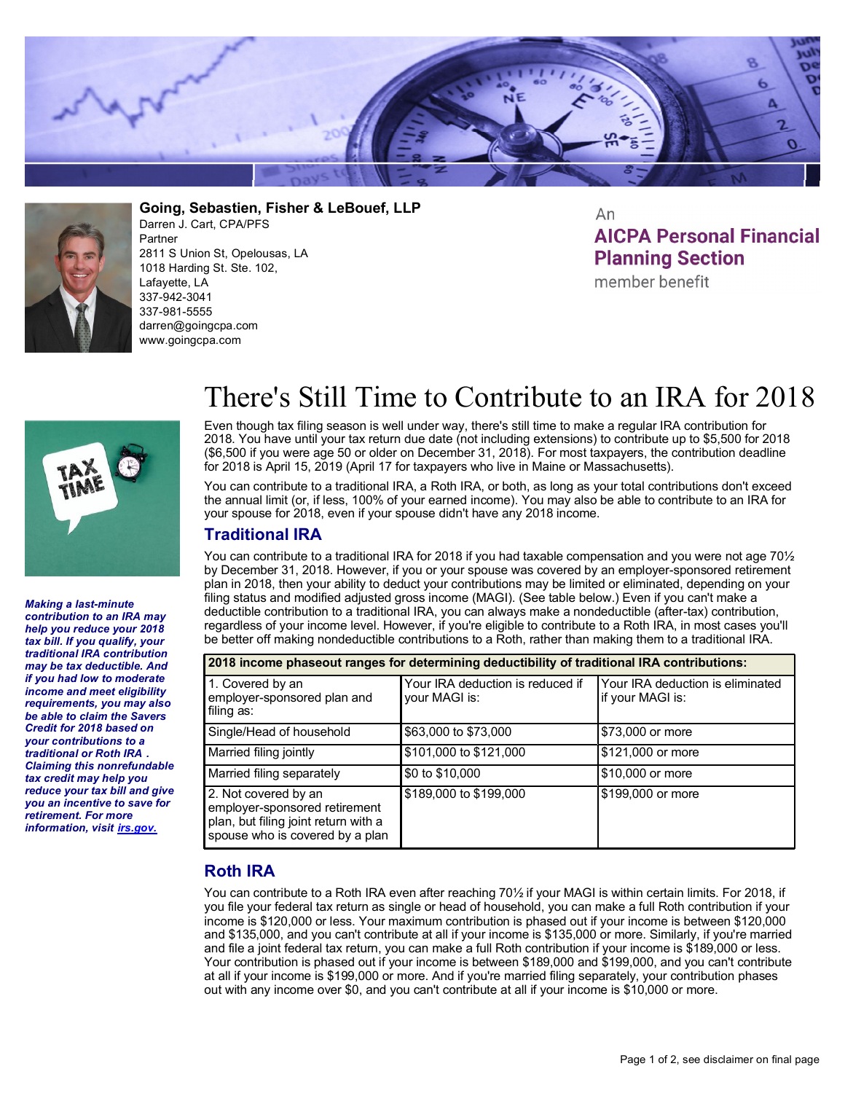



**Going, Sebastien, Fisher & LeBouef, LLP** Darren J. Cart, CPA/PFS Partner 2811 S Union St, Opelousas, LA 1018 Harding St. Ste. 102, Lafayette, LA 337-942-3041 337-981-5555 darren@goingcpa.com www.goingcpa.com

An **AICPA Personal Financial Planning Section** 

member benefit



*Making a last-minute contribution to an IRA may help you reduce your 2018 tax bill. If you qualify, your traditional IRA contribution may be tax deductible. And if you had low to moderate income and meet eligibility requirements, you may also be able to claim the Savers Credit for 2018 based on your contributions to a traditional or Roth IRA . Claiming this nonrefundable tax credit may help you reduce your tax bill and give you an incentive to save for retirement. For more information, visit irs.gov.*

## There's Still Time to Contribute to an IRA for 2018

Even though tax filing season is well under way, there's still time to make a regular IRA contribution for 2018. You have until your tax return due date (not including extensions) to contribute up to \$5,500 for 2018 (\$6,500 if you were age 50 or older on December 31, 2018). For most taxpayers, the contribution deadline for 2018 is April 15, 2019 (April 17 for taxpayers who live in Maine or Massachusetts).

You can contribute to a traditional IRA, a Roth IRA, or both, as long as your total contributions don't exceed the annual limit (or, if less, 100% of your earned income). You may also be able to contribute to an IRA for your spouse for 2018, even if your spouse didn't have any 2018 income.

## **Traditional IRA**

You can contribute to a traditional IRA for 2018 if you had taxable compensation and you were not age 70<sup>1</sup>/<sub>2</sub> by December 31, 2018. However, if you or your spouse was covered by an employer-sponsored retirement plan in 2018, then your ability to deduct your contributions may be limited or eliminated, depending on your filing status and modified adjusted gross income (MAGI). (See table below.) Even if you can't make a deductible contribution to a traditional IRA, you can always make a nondeductible (after-tax) contribution, regardless of your income level. However, if you're eligible to contribute to a Roth IRA, in most cases you'll be better off making nondeductible contributions to a Roth, rather than making them to a traditional IRA.

| 2018 income phaseout ranges for determining deductibility of traditional IRA contributions:                                      |                                                   |                                                      |  |
|----------------------------------------------------------------------------------------------------------------------------------|---------------------------------------------------|------------------------------------------------------|--|
| 1. Covered by an<br>employer-sponsored plan and<br>filing as:                                                                    | Your IRA deduction is reduced if<br>your MAGI is: | Your IRA deduction is eliminated<br>if your MAGI is: |  |
| Single/Head of household                                                                                                         | \$63,000 to \$73,000                              | I\$73,000 or more                                    |  |
| Married filing jointly                                                                                                           | \$101,000 to \$121,000                            | \$121,000 or more                                    |  |
| Married filing separately                                                                                                        | \$0 to \$10,000                                   | \$10,000 or more                                     |  |
| 2. Not covered by an<br>employer-sponsored retirement<br>plan, but filing joint return with a<br>spouse who is covered by a plan | \$189,000 to \$199,000                            | I\$199,000 or more                                   |  |

## **Roth IRA**

You can contribute to a Roth IRA even after reaching 70½ if your MAGI is within certain limits. For 2018, if you file your federal tax return as single or head of household, you can make a full Roth contribution if your income is \$120,000 or less. Your maximum contribution is phased out if your income is between \$120,000 and \$135,000, and you can't contribute at all if your income is \$135,000 or more. Similarly, if you're married and file a joint federal tax return, you can make a full Roth contribution if your income is \$189,000 or less. Your contribution is phased out if your income is between \$189,000 and \$199,000, and you can't contribute at all if your income is \$199,000 or more. And if you're married filing separately, your contribution phases out with any income over \$0, and you can't contribute at all if your income is \$10,000 or more.